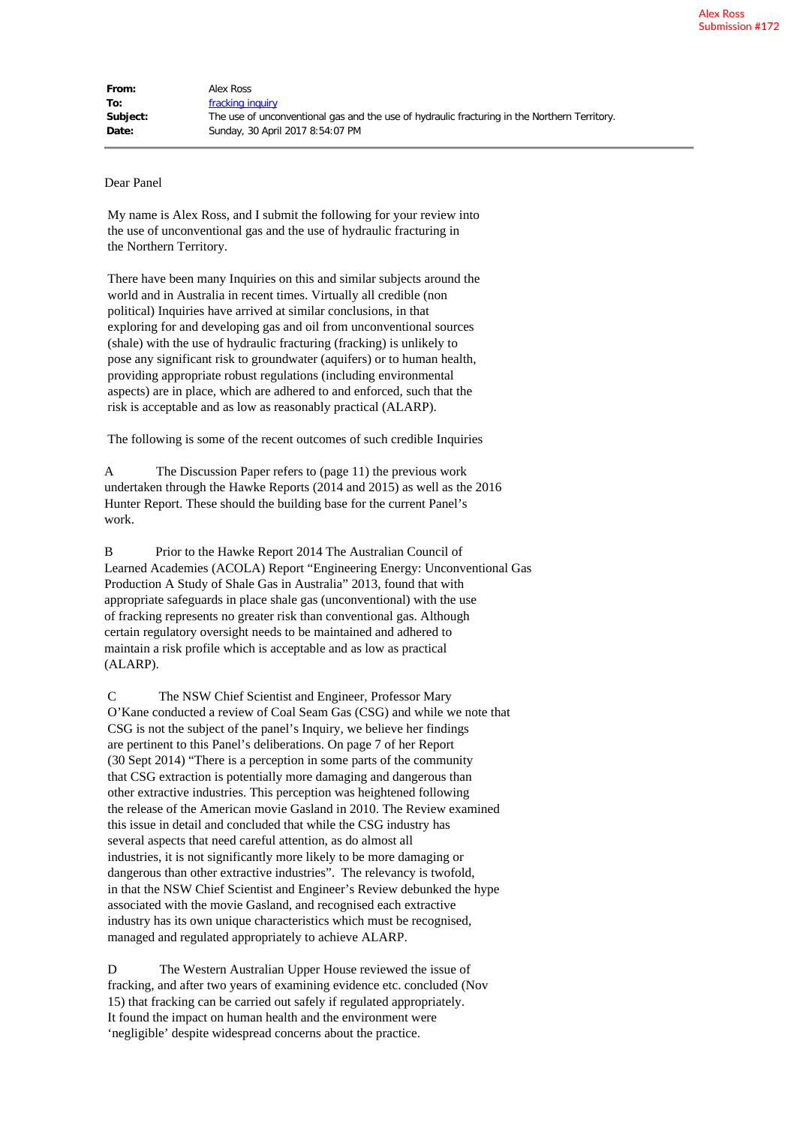## Dear Panel

My name is Alex Ross, and I submit the following for your review into the use of unconventional gas and the use of hydraulic fracturing in the Northern Territory.

There have been many Inquiries on this and similar subjects around the world and in Australia in recent times. Virtually all credible (non political) Inquiries have arrived at similar conclusions, in that exploring for and developing gas and oil from unconventional sources (shale) with the use of hydraulic fracturing (fracking) is unlikely to pose any significant risk to groundwater (aquifers) or to human health, providing appropriate robust regulations (including environmental aspects) are in place, which are adhered to and enforced, such that the risk is acceptable and as low as reasonably practical (ALARP).

The following is some of the recent outcomes of such credible Inquiries

A The Discussion Paper refers to (page 11) the previous work undertaken through the Hawke Reports (2014 and 2015) as well as the 2016 Hunter Report. These should the building base for the current Panel's work.

B Prior to the Hawke Report 2014 The Australian Council of Learned Academies (ACOLA) Report "Engineering Energy: Unconventional Gas Production A Study of Shale Gas in Australia" 2013, found that with appropriate safeguards in place shale gas (unconventional) with the use of fracking represents no greater risk than conventional gas. Although certain regulatory oversight needs to be maintained and adhered to maintain a risk profile which is acceptable and as low as practical (ALARP).

C The NSW Chief Scientist and Engineer, Professor Mary O'Kane conducted a review of Coal Seam Gas (CSG) and while we note that CSG is not the subject of the panel's Inquiry, we believe her findings are pertinent to this Panel's deliberations. On page 7 of her Report (30 Sept 2014) "There is a perception in some parts of the community that CSG extraction is potentially more damaging and dangerous than other extractive industries. This perception was heightened following the release of the American movie Gasland in 2010. The Review examined this issue in detail and concluded that while the CSG industry has several aspects that need careful attention, as do almost all industries, it is not significantly more likely to be more damaging or dangerous than other extractive industries". The relevancy is twofold, in that the NSW Chief Scientist and Engineer's Review debunked the hype associated with the movie Gasland, and recognised each extractive industry has its own unique characteristics which must be recognised, managed and regulated appropriately to achieve ALARP.

D The Western Australian Upper House reviewed the issue of fracking, and after two years of examining evidence etc. concluded (Nov 15) that fracking can be carried out safely if regulated appropriately. It found the impact on human health and the environment were 'negligible' despite widespread concerns about the practice.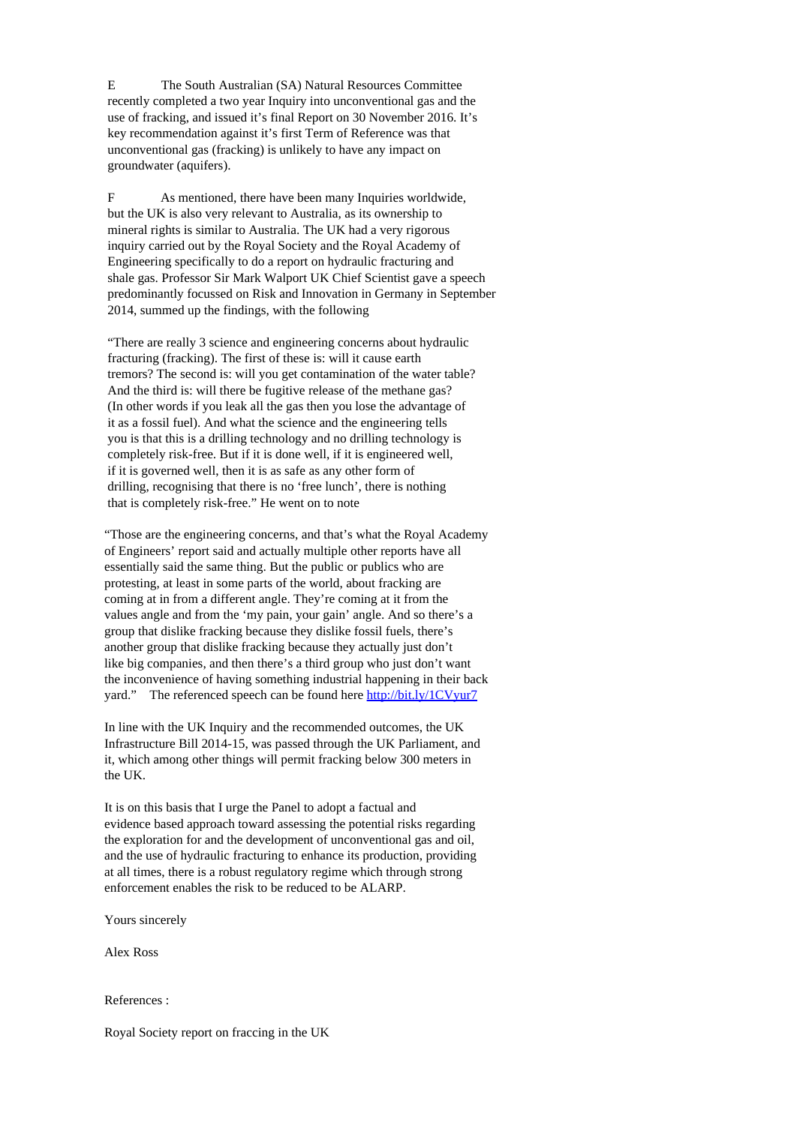E The South Australian (SA) Natural Resources Committee recently completed a two year Inquiry into unconventional gas and the use of fracking, and issued it's final Report on 30 November 2016. It's key recommendation against it's first Term of Reference was that unconventional gas (fracking) is unlikely to have any impact on groundwater (aquifers).

F As mentioned, there have been many Inquiries worldwide, but the UK is also very relevant to Australia, as its ownership to mineral rights is similar to Australia. The UK had a very rigorous inquiry carried out by the Royal Society and the Royal Academy of Engineering specifically to do a report on hydraulic fracturing and shale gas. Professor Sir Mark Walport UK Chief Scientist gave a speech predominantly focussed on Risk and Innovation in Germany in September 2014, summed up the findings, with the following

"There are really 3 science and engineering concerns about hydraulic fracturing (fracking). The first of these is: will it cause earth tremors? The second is: will you get contamination of the water table? And the third is: will there be fugitive release of the methane gas? (In other words if you leak all the gas then you lose the advantage of it as a fossil fuel). And what the science and the engineering tells you is that this is a drilling technology and no drilling technology is completely risk-free. But if it is done well, if it is engineered well, if it is governed well, then it is as safe as any other form of drilling, recognising that there is no 'free lunch', there is nothing that is completely risk-free." He went on to note

"Those are the engineering concerns, and that's what the Royal Academy of Engineers' report said and actually multiple other reports have all essentially said the same thing. But the public or publics who are protesting, at least in some parts of the world, about fracking are coming at in from a different angle. They're coming at it from the values angle and from the 'my pain, your gain' angle. And so there's a group that dislike fracking because they dislike fossil fuels, there's another group that dislike fracking because they actually just don't like big companies, and then there's a third group who just don't want the inconvenience of having something industrial happening in their back yard." The referenced speech can be found here <http://bit.ly/1CVyur7>

In line with the UK Inquiry and the recommended outcomes, the UK Infrastructure Bill 2014-15, was passed through the UK Parliament, and it, which among other things will permit fracking below 300 meters in the UK.

It is on this basis that I urge the Panel to adopt a factual and evidence based approach toward assessing the potential risks regarding the exploration for and the development of unconventional gas and oil, and the use of hydraulic fracturing to enhance its production, providing at all times, there is a robust regulatory regime which through strong enforcement enables the risk to be reduced to be ALARP.

Yours sincerely

Alex Ross

References :

Royal Society report on fraccing in the UK